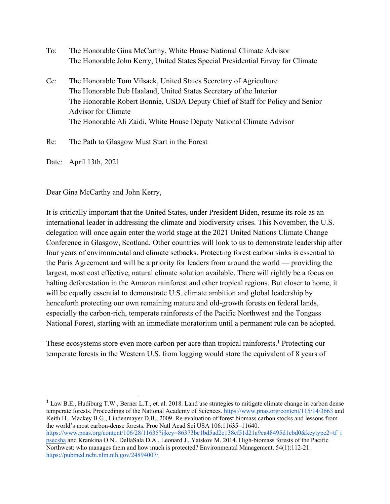- To: The Honorable Gina McCarthy, White House National Climate Advisor The Honorable John Kerry, United States Special Presidential Envoy for Climate
- Cc: The Honorable Tom Vilsack, United States Secretary of Agriculture The Honorable Deb Haaland, United States Secretary of the Interior The Honorable Robert Bonnie, USDA Deputy Chief of Staff for Policy and Senior Advisor for Climate The Honorable Ali Zaidi, White House Deputy National Climate Advisor

Re: The Path to Glasgow Must Start in the Forest

Date: April 13th, 2021

Dear Gina McCarthy and John Kerry,

It is critically important that the United States, under President Biden, resume its role as an international leader in addressing the climate and biodiversity crises. This November, the U.S. delegation will once again enter the world stage at the 2021 United Nations Climate Change Conference in Glasgow, Scotland. Other countries will look to us to demonstrate leadership after four years of environmental and climate setbacks. Protecting forest carbon sinks is essential to the Paris Agreement and will be a priority for leaders from around the world — providing the largest, most cost effective, natural climate solution available. There will rightly be a focus on halting deforestation in the Amazon rainforest and other tropical regions. But closer to home, it will be equally essential to demonstrate U.S. climate ambition and global leadership by henceforth protecting our own remaining mature and old-growth forests on federal lands, especially the carbon-rich, temperate rainforests of the Pacific Northwest and the Tongass National Forest, starting with an immediate moratorium until a permanent rule can be adopted.

These ecosystems store even more carbon per acre than tropical rainforests.<sup>1</sup> Protecting our temperate forests in the Western U.S. from logging would store the equivalent of 8 years of

<sup>1</sup> Law B.E., Hudiburg T.W., Berner L.T., et. al. 2018. Land use strategies to mitigate climate change in carbon dense temperate forests. Proceedings of the National Academy of Sciences. https://www.pnas.org/content/115/14/3663 and Keith H., Mackey B.G., Lindenmayer D.B., 2009. Re-evaluation of forest biomass carbon stocks and lessons from the world's most carbon-dense forests. Proc Natl Acad Sci USA 106:11635–11640. https://www.pnas.org/content/106/28/11635?ijkey=86373bc1bd5ad2e138cf51d21a9ea48495d1cbd0&keytype2=tf\_i psecsha and Krankina O.N., DellaSala D.A., Leonard J., Yatskov M. 2014. High-biomass forests of the Pacific Northwest: who manages them and how much is protected? Environmental Management. 54(1):112-21. https://pubmed.ncbi.nlm.nih.gov/24894007/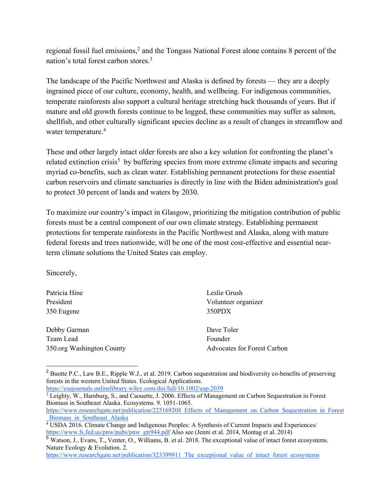regional fossil fuel emissions,<sup>2</sup> and the Tongass National Forest alone contains 8 percent of the nation's total forest carbon stores.3

The landscape of the Pacific Northwest and Alaska is defined by forests — they are a deeply ingrained piece of our culture, economy, health, and wellbeing. For indigenous communities, temperate rainforests also support a cultural heritage stretching back thousands of years. But if mature and old growth forests continue to be logged, these communities may suffer as salmon, shellfish, and other culturally significant species decline as a result of changes in streamflow and water temperature.<sup>4</sup>

These and other largely intact older forests are also a key solution for confronting the planet's related extinction crisis<sup>5</sup> by buffering species from more extreme climate impacts and securing myriad co-benefits, such as clean water. Establishing permanent protections for these essential carbon reservoirs and climate sanctuaries is directly in line with the Biden administration's goal to protect 30 percent of lands and waters by 2030.

To maximize our country's impact in Glasgow, prioritizing the mitigation contribution of public forests must be a central component of our own climate strategy. Establishing permanent protections for temperate rainforests in the Pacific Northwest and Alaska, along with mature federal forests and trees nationwide, will be one of the most cost-effective and essential nearterm climate solutions the United States can employ.

Sincerely,

| Patricia Hine             | Leslie Grush                       |
|---------------------------|------------------------------------|
| President                 | Volunteer organizer                |
| 350 Eugene                | 350PDX                             |
| Debby Garman              | Dave Toler                         |
| Team Lead                 | Founder                            |
| 350.org Washington County | <b>Advocates for Forest Carbon</b> |

<sup>&</sup>lt;sup>2</sup> Buotte P.C., Law B.E., Ripple W.J., et al. 2019. Carbon sequestration and biodiversity co-benefits of preserving forests in the western United States. Ecological Applications.

https://esajournals.onlinelibrary.wiley.com/doi/full/10.1002/eap.2039

<sup>&</sup>lt;sup>3</sup> Leighty, W., Hamburg, S., and Caouette, J. 2006. Effects of Management on Carbon Sequestration in Forest Biomass in Southeast Alaska. Ecosystems. 9. 1051-1065.

https://www.researchgate.net/publication/225169208\_Effects\_of\_Management\_on\_Carbon\_Sequestration\_in\_Forest \_Biomass\_in\_Southeast\_Alaska

<sup>4</sup> USDA 2016. Climate Change and Indigenous Peoples: A Synthesis of Current Impacts and Experiences/ https://www.fs.fed.us/pnw/pubs/pnw\_gtr944.pdf Also see (Jenni et al. 2014, Montag et al. 2014)

<sup>5</sup> Watson, J., Evans, T., Venter, O., Williams, B. et al. 2018. The exceptional value of intact forest ecosystems. Nature Ecology & Evolution. 2.

https://www.researchgate.net/publication/323399911\_The\_exceptional\_value\_of\_intact\_forest\_ecosystems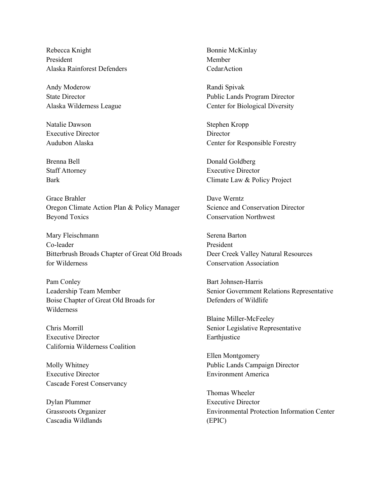Rebecca Knight President Alaska Rainforest Defenders

Andy Moderow State Director Alaska Wilderness League

Natalie Dawson Executive Director Audubon Alaska

Brenna Bell Staff Attorney Bark

Grace Brahler Oregon Climate Action Plan & Policy Manager Beyond Toxics

Mary Fleischmann Co-leader Bitterbrush Broads Chapter of Great Old Broads for Wilderness

Pam Conley Leadership Team Member Boise Chapter of Great Old Broads for Wilderness

Chris Morrill Executive Director California Wilderness Coalition

Molly Whitney Executive Director Cascade Forest Conservancy

Dylan Plummer Grassroots Organizer Cascadia Wildlands

Bonnie McKinlay Member **CedarAction** 

Randi Spivak Public Lands Program Director Center for Biological Diversity

Stephen Kropp **Director** Center for Responsible Forestry

Donald Goldberg Executive Director Climate Law & Policy Project

Dave Werntz Science and Conservation Director Conservation Northwest

Serena Barton President Deer Creek Valley Natural Resources Conservation Association

Bart Johnsen-Harris Senior Government Relations Representative Defenders of Wildlife

Blaine Miller-McFeeley Senior Legislative Representative Earthjustice

Ellen Montgomery Public Lands Campaign Director Environment America

Thomas Wheeler Executive Director Environmental Protection Information Center (EPIC)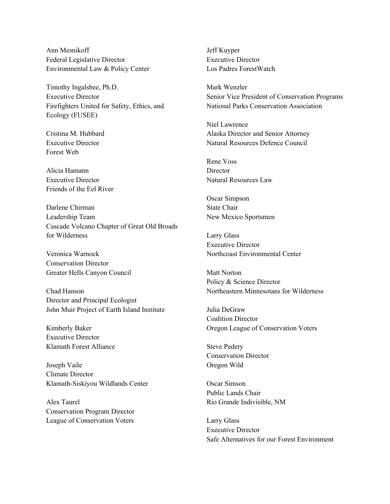Ann Mesnikoff Federal Legislative Director Environmental Law & Policy Center

Timothy Ingalsbee, Ph.D. Executive Director Firefighters United for Safety, Ethics, and Ecology (FUSEE)

Cristina M. Hubbard Executive Director Forest Web

Alicia Hamann Executive Director Friends of the Eel River

Darlene Chirman Leadership Team Cascade Volcano Chapter of Great Old Broads for Wilderness

Veronica Warnock Conservation Director Greater Hells Canyon Council

Chad Hanson Director and Principal Ecologist John Muir Project of Earth Island Institute

Kimberly Baker Executive Director Klamath Forest Alliance

Joseph Vaile Climate Director Klamath-Siskiyou Wildlands Center

Alex Taurel Conservation Program Director League of Conservation Voters

Jeff Kuyper Executive Director Los Padres ForestWatch

Mark Wenzler Senior Vice President of Conservation Programs National Parks Conservation Association

Niel Lawrence Alaska Director and Senior Attorney Natural Resources Defence Council

Rene Voss **Director** Natural Resources Law

Oscar Simpson State Chair New Mexico Sportsmen

Larry Glass Executive Director Northcoast Environmental Center

Matt Norton Policy & Science Director Northeastern Minnesotans for Wilderness

Julia DeGraw Coalition Director Oregon League of Conservation Voters

Steve Pedery Conservation Director Oregon Wild

Oscar Simson Public Lands Chair Rio Grande Indivisible, NM

Larry Glass Executive Director Safe Alternatives for our Forest Environment